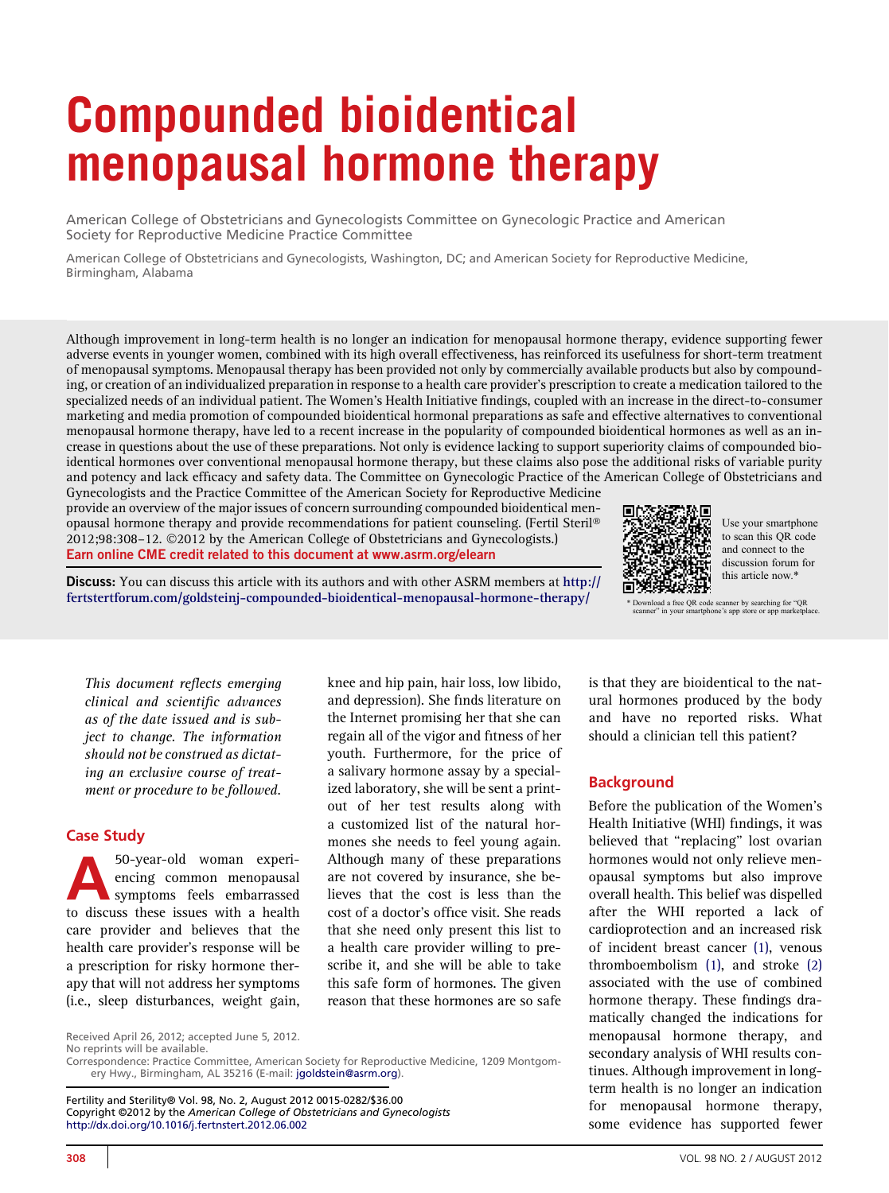# Compounded bioidentical menopausal hormone therapy

American College of Obstetricians and Gynecologists Committee on Gynecologic Practice and American Society for Reproductive Medicine Practice Committee

American College of Obstetricians and Gynecologists, Washington, DC; and American Society for Reproductive Medicine, Birmingham, Alabama

Although improvement in long-term health is no longer an indication for menopausal hormone therapy, evidence supporting fewer adverse events in younger women, combined with its high overall effectiveness, has reinforced its usefulness for short-term treatment of menopausal symptoms. Menopausal therapy has been provided not only by commercially available products but also by compounding, or creation of an individualized preparation in response to a health care provider's prescription to create a medication tailored to the specialized needs of an individual patient. The Women's Health Initiative findings, coupled with an increase in the direct-to-consumer marketing and media promotion of compounded bioidentical hormonal preparations as safe and effective alternatives to conventional menopausal hormone therapy, have led to a recent increase in the popularity of compounded bioidentical hormones as well as an increase in questions about the use of these preparations. Not only is evidence lacking to support superiority claims of compounded bioidentical hormones over conventional menopausal hormone therapy, but these claims also pose the additional risks of variable purity and potency and lack efficacy and safety data. The Committee on Gynecologic Practice of the American College of Obstetricians and

Gynecologists and the Practice Committee of the American Society for Reproductive Medicine provide an overview of the major issues of concern surrounding compounded bioidentical menopausal hormone therapy and provide recommendations for patient counseling. (Fertil Steril 2012;98:308–12. 2012 by the American College of Obstetricians and Gynecologists.) Earn online CME credit related to this document at [www.asrm.org/elearn](http://www.asrm.org/elearn)



Use your smartphone to scan this QR code and connect to the discussion forum for this article now.\*

Discuss: You can discuss this article with its authors and with other ASRM members at [http://](http://fertstertforum.com/goldsteinj-compounded-bioidentical-menopausal-hormone-therapy/) [fertstertforum.com/goldsteinj-compounded-bioidentical-menopausal-hormone-therapy/](http://fertstertforum.com/goldsteinj-compounded-bioidentical-menopausal-hormone-therapy/)

\* Download a free QR code scanner by searching for "QR scanner" in your smartphone's app store or app marketplace.

This document reflects emerging clinical and scientific advances as of the date issued and is subject to change. The information should not be construed as dictating an exclusive course of treatment or procedure to be followed.

Case Study

50-year-old woman experiencing common menopausal<br>symptoms feels embarrassed encing common menopausal symptoms feels embarrassed to discuss these issues with a health care provider and believes that the health care provider's response will be a prescription for risky hormone therapy that will not address her symptoms (i.e., sleep disturbances, weight gain,

knee and hip pain, hair loss, low libido, and depression). She finds literature on the Internet promising her that she can regain all of the vigor and fitness of her youth. Furthermore, for the price of a salivary hormone assay by a specialized laboratory, she will be sent a printout of her test results along with a customized list of the natural hormones she needs to feel young again. Although many of these preparations are not covered by insurance, she believes that the cost is less than the cost of a doctor's office visit. She reads that she need only present this list to a health care provider willing to prescribe it, and she will be able to take this safe form of hormones. The given reason that these hormones are so safe

is that they are bioidentical to the natural hormones produced by the body and have no reported risks. What should a clinician tell this patient?

## **Background**

Before the publication of the Women's Health Initiative (WHI) findings, it was believed that ''replacing'' lost ovarian hormones would not only relieve menopausal symptoms but also improve overall health. This belief was dispelled after the WHI reported a lack of cardioprotection and an increased risk of incident breast cancer [\(1\),](#page-3-0) venous thromboembolism [\(1\)](#page-3-0), and stroke [\(2\)](#page-3-0) associated with the use of combined hormone therapy. These findings dramatically changed the indications for menopausal hormone therapy, and secondary analysis of WHI results continues. Although improvement in longterm health is no longer an indication for menopausal hormone therapy, some evidence has supported fewer

Received April 26, 2012; accepted June 5, 2012. No reprints will be available.

Correspondence: Practice Committee, American Society for Reproductive Medicine, 1209 Montgomery Hwy., Birmingham, AL 35216 (E-mail: [jgoldstein@asrm.org\)](mailto:jgoldstein@asrm.org).

Fertility and Sterility® Vol. 98, No. 2, August 2012 0015-0282/\$36.00 Copyright ©2012 by the American College of Obstetricians and Gynecologists <http://dx.doi.org/10.1016/j.fertnstert.2012.06.002>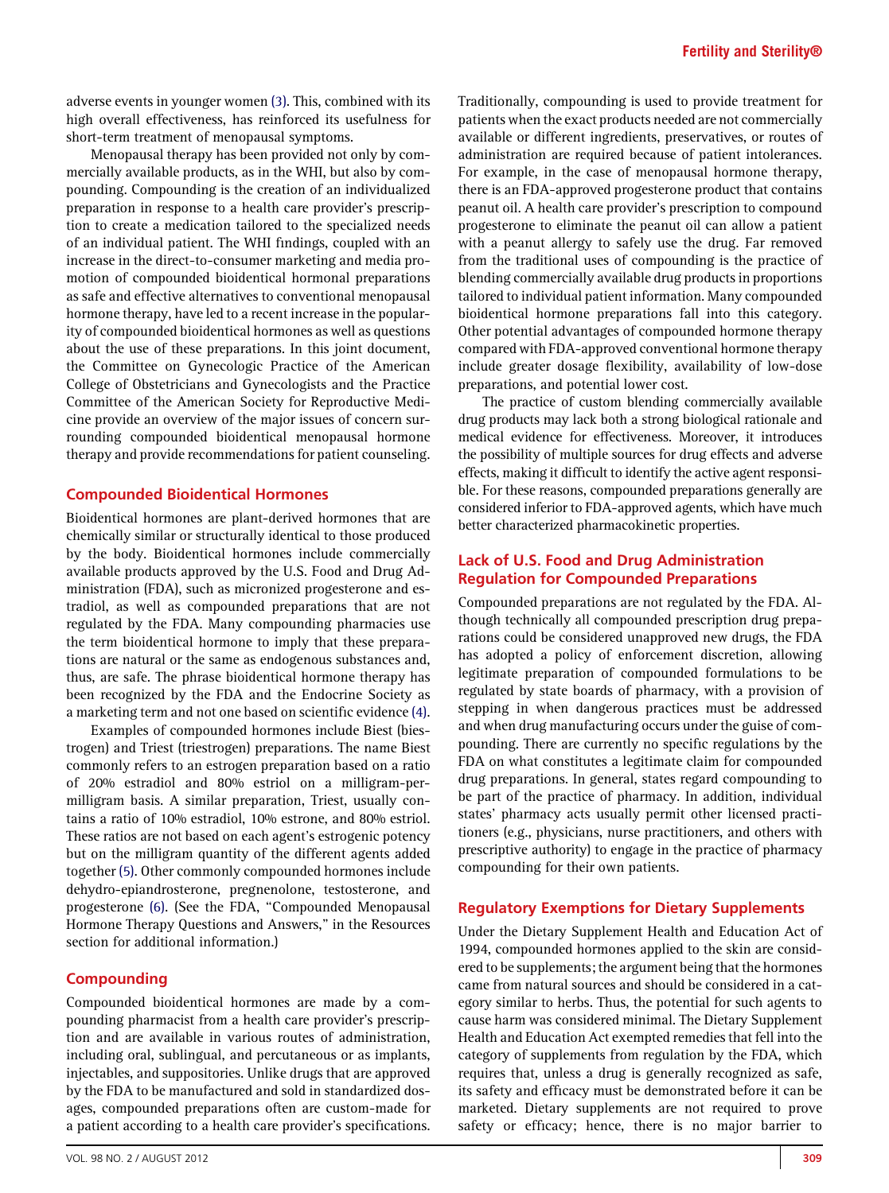adverse events in younger women [\(3\).](#page-3-0) This, combined with its high overall effectiveness, has reinforced its usefulness for short-term treatment of menopausal symptoms.

Menopausal therapy has been provided not only by commercially available products, as in the WHI, but also by compounding. Compounding is the creation of an individualized preparation in response to a health care provider's prescription to create a medication tailored to the specialized needs of an individual patient. The WHI findings, coupled with an increase in the direct-to-consumer marketing and media promotion of compounded bioidentical hormonal preparations as safe and effective alternatives to conventional menopausal hormone therapy, have led to a recent increase in the popularity of compounded bioidentical hormones as well as questions about the use of these preparations. In this joint document, the Committee on Gynecologic Practice of the American College of Obstetricians and Gynecologists and the Practice Committee of the American Society for Reproductive Medicine provide an overview of the major issues of concern surrounding compounded bioidentical menopausal hormone therapy and provide recommendations for patient counseling.

#### Compounded Bioidentical Hormones

Bioidentical hormones are plant-derived hormones that are chemically similar or structurally identical to those produced by the body. Bioidentical hormones include commercially available products approved by the U.S. Food and Drug Administration (FDA), such as micronized progesterone and estradiol, as well as compounded preparations that are not regulated by the FDA. Many compounding pharmacies use the term bioidentical hormone to imply that these preparations are natural or the same as endogenous substances and, thus, are safe. The phrase bioidentical hormone therapy has been recognized by the FDA and the Endocrine Society as a marketing term and not one based on scientific evidence [\(4\).](#page-3-0)

Examples of compounded hormones include Biest (biestrogen) and Triest (triestrogen) preparations. The name Biest commonly refers to an estrogen preparation based on a ratio of 20% estradiol and 80% estriol on a milligram-permilligram basis. A similar preparation, Triest, usually contains a ratio of 10% estradiol, 10% estrone, and 80% estriol. These ratios are not based on each agent's estrogenic potency but on the milligram quantity of the different agents added together [\(5\)](#page-3-0). Other commonly compounded hormones include dehydro-epiandrosterone, pregnenolone, testosterone, and progesterone [\(6\).](#page-3-0) (See the FDA, ''Compounded Menopausal Hormone Therapy Questions and Answers,'' in the Resources section for additional information.)

## Compounding

Compounded bioidentical hormones are made by a compounding pharmacist from a health care provider's prescription and are available in various routes of administration, including oral, sublingual, and percutaneous or as implants, injectables, and suppositories. Unlike drugs that are approved by the FDA to be manufactured and sold in standardized dosages, compounded preparations often are custom-made for a patient according to a health care provider's specifications.

Traditionally, compounding is used to provide treatment for patients when the exact products needed are not commercially available or different ingredients, preservatives, or routes of administration are required because of patient intolerances. For example, in the case of menopausal hormone therapy, there is an FDA-approved progesterone product that contains peanut oil. A health care provider's prescription to compound progesterone to eliminate the peanut oil can allow a patient with a peanut allergy to safely use the drug. Far removed from the traditional uses of compounding is the practice of blending commercially available drug products in proportions tailored to individual patient information. Many compounded bioidentical hormone preparations fall into this category. Other potential advantages of compounded hormone therapy compared with FDA-approved conventional hormone therapy include greater dosage flexibility, availability of low-dose preparations, and potential lower cost.

The practice of custom blending commercially available drug products may lack both a strong biological rationale and medical evidence for effectiveness. Moreover, it introduces the possibility of multiple sources for drug effects and adverse effects, making it difficult to identify the active agent responsible. For these reasons, compounded preparations generally are considered inferior to FDA-approved agents, which have much better characterized pharmacokinetic properties.

## Lack of U.S. Food and Drug Administration Regulation for Compounded Preparations

Compounded preparations are not regulated by the FDA. Although technically all compounded prescription drug preparations could be considered unapproved new drugs, the FDA has adopted a policy of enforcement discretion, allowing legitimate preparation of compounded formulations to be regulated by state boards of pharmacy, with a provision of stepping in when dangerous practices must be addressed and when drug manufacturing occurs under the guise of compounding. There are currently no specific regulations by the FDA on what constitutes a legitimate claim for compounded drug preparations. In general, states regard compounding to be part of the practice of pharmacy. In addition, individual states' pharmacy acts usually permit other licensed practitioners (e.g., physicians, nurse practitioners, and others with prescriptive authority) to engage in the practice of pharmacy compounding for their own patients.

#### Regulatory Exemptions for Dietary Supplements

Under the Dietary Supplement Health and Education Act of 1994, compounded hormones applied to the skin are considered to be supplements; the argument being that the hormones came from natural sources and should be considered in a category similar to herbs. Thus, the potential for such agents to cause harm was considered minimal. The Dietary Supplement Health and Education Act exempted remedies that fell into the category of supplements from regulation by the FDA, which requires that, unless a drug is generally recognized as safe, its safety and efficacy must be demonstrated before it can be marketed. Dietary supplements are not required to prove safety or efficacy; hence, there is no major barrier to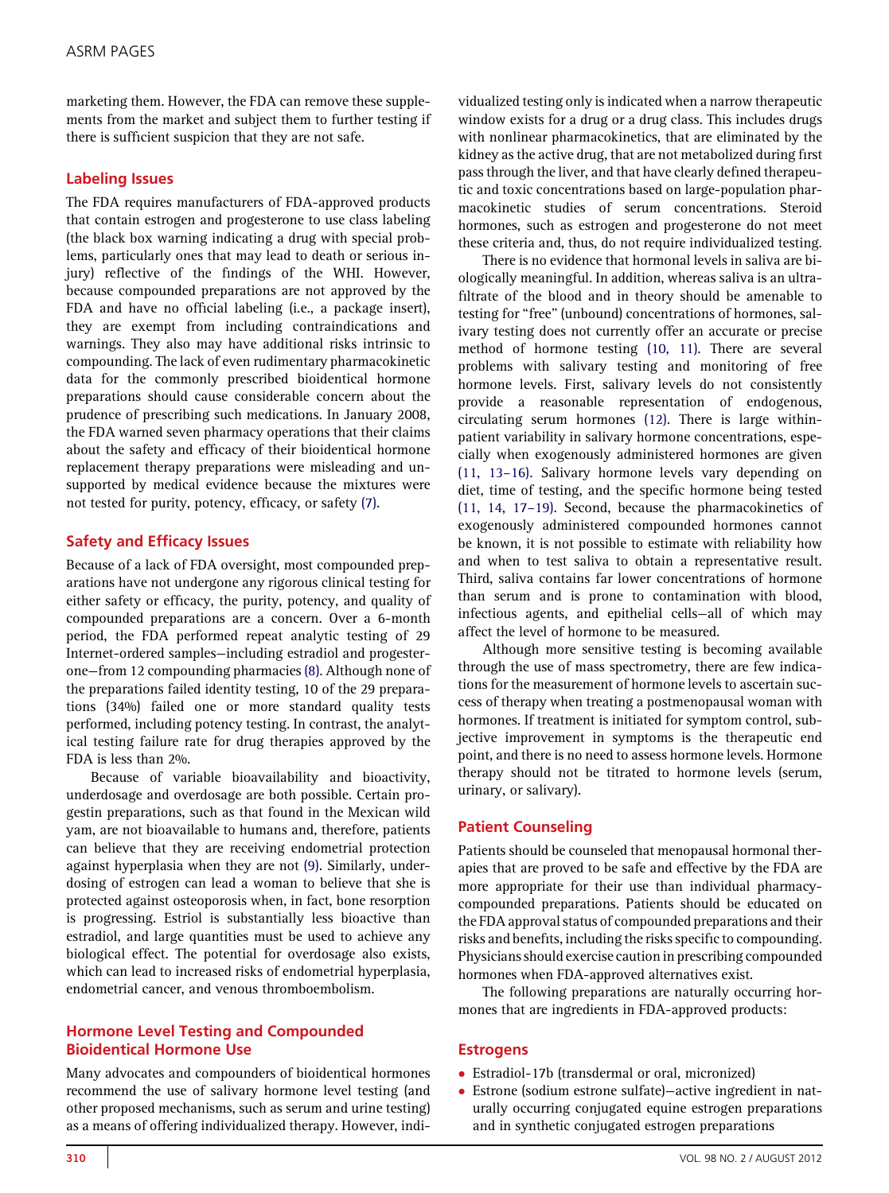marketing them. However, the FDA can remove these supplements from the market and subject them to further testing if there is sufficient suspicion that they are not safe.

## Labeling Issues

The FDA requires manufacturers of FDA-approved products that contain estrogen and progesterone to use class labeling (the black box warning indicating a drug with special problems, particularly ones that may lead to death or serious injury) reflective of the findings of the WHI. However, because compounded preparations are not approved by the FDA and have no official labeling (i.e., a package insert), they are exempt from including contraindications and warnings. They also may have additional risks intrinsic to compounding. The lack of even rudimentary pharmacokinetic data for the commonly prescribed bioidentical hormone preparations should cause considerable concern about the prudence of prescribing such medications. In January 2008, the FDA warned seven pharmacy operations that their claims about the safety and efficacy of their bioidentical hormone replacement therapy preparations were misleading and unsupported by medical evidence because the mixtures were not tested for purity, potency, efficacy, or safety [\(7\)](#page-3-0).

## Safety and Efficacy Issues

Because of a lack of FDA oversight, most compounded preparations have not undergone any rigorous clinical testing for either safety or efficacy, the purity, potency, and quality of compounded preparations are a concern. Over a 6-month period, the FDA performed repeat analytic testing of 29 Internet-ordered samples—including estradiol and progesterone—from 12 compounding pharmacies [\(8\)](#page-3-0). Although none of the preparations failed identity testing, 10 of the 29 preparations (34%) failed one or more standard quality tests performed, including potency testing. In contrast, the analytical testing failure rate for drug therapies approved by the FDA is less than 2%.

Because of variable bioavailability and bioactivity, underdosage and overdosage are both possible. Certain progestin preparations, such as that found in the Mexican wild yam, are not bioavailable to humans and, therefore, patients can believe that they are receiving endometrial protection against hyperplasia when they are not [\(9\).](#page-3-0) Similarly, underdosing of estrogen can lead a woman to believe that she is protected against osteoporosis when, in fact, bone resorption is progressing. Estriol is substantially less bioactive than estradiol, and large quantities must be used to achieve any biological effect. The potential for overdosage also exists, which can lead to increased risks of endometrial hyperplasia, endometrial cancer, and venous thromboembolism.

## Hormone Level Testing and Compounded Bioidentical Hormone Use

Many advocates and compounders of bioidentical hormones recommend the use of salivary hormone level testing (and other proposed mechanisms, such as serum and urine testing) as a means of offering individualized therapy. However, individualized testing only is indicated when a narrow therapeutic window exists for a drug or a drug class. This includes drugs with nonlinear pharmacokinetics, that are eliminated by the kidney as the active drug, that are not metabolized during first pass through the liver, and that have clearly defined therapeutic and toxic concentrations based on large-population pharmacokinetic studies of serum concentrations. Steroid hormones, such as estrogen and progesterone do not meet these criteria and, thus, do not require individualized testing.

There is no evidence that hormonal levels in saliva are biologically meaningful. In addition, whereas saliva is an ultrafiltrate of the blood and in theory should be amenable to testing for ''free'' (unbound) concentrations of hormones, salivary testing does not currently offer an accurate or precise method of hormone testing [\(10, 11\)](#page-3-0). There are several problems with salivary testing and monitoring of free hormone levels. First, salivary levels do not consistently provide a reasonable representation of endogenous, circulating serum hormones [\(12\)](#page-3-0). There is large withinpatient variability in salivary hormone concentrations, especially when exogenously administered hormones are given [\(11, 13](#page-3-0)–16). Salivary hormone levels vary depending on diet, time of testing, and the specific hormone being tested [\(11, 14, 17](#page-3-0)–19). Second, because the pharmacokinetics of exogenously administered compounded hormones cannot be known, it is not possible to estimate with reliability how and when to test saliva to obtain a representative result. Third, saliva contains far lower concentrations of hormone than serum and is prone to contamination with blood, infectious agents, and epithelial cells—all of which may affect the level of hormone to be measured.

Although more sensitive testing is becoming available through the use of mass spectrometry, there are few indications for the measurement of hormone levels to ascertain success of therapy when treating a postmenopausal woman with hormones. If treatment is initiated for symptom control, subjective improvement in symptoms is the therapeutic end point, and there is no need to assess hormone levels. Hormone therapy should not be titrated to hormone levels (serum, urinary, or salivary).

## Patient Counseling

Patients should be counseled that menopausal hormonal therapies that are proved to be safe and effective by the FDA are more appropriate for their use than individual pharmacycompounded preparations. Patients should be educated on the FDA approval status of compounded preparations and their risks and benefits, including the risks specific to compounding. Physicians should exercise caution in prescribing compounded hormones when FDA-approved alternatives exist.

The following preparations are naturally occurring hormones that are ingredients in FDA-approved products:

## Estrogens

- Estradiol-17b (transdermal or oral, micronized)
- Estrone (sodium estrone sulfate)—active ingredient in naturally occurring conjugated equine estrogen preparations and in synthetic conjugated estrogen preparations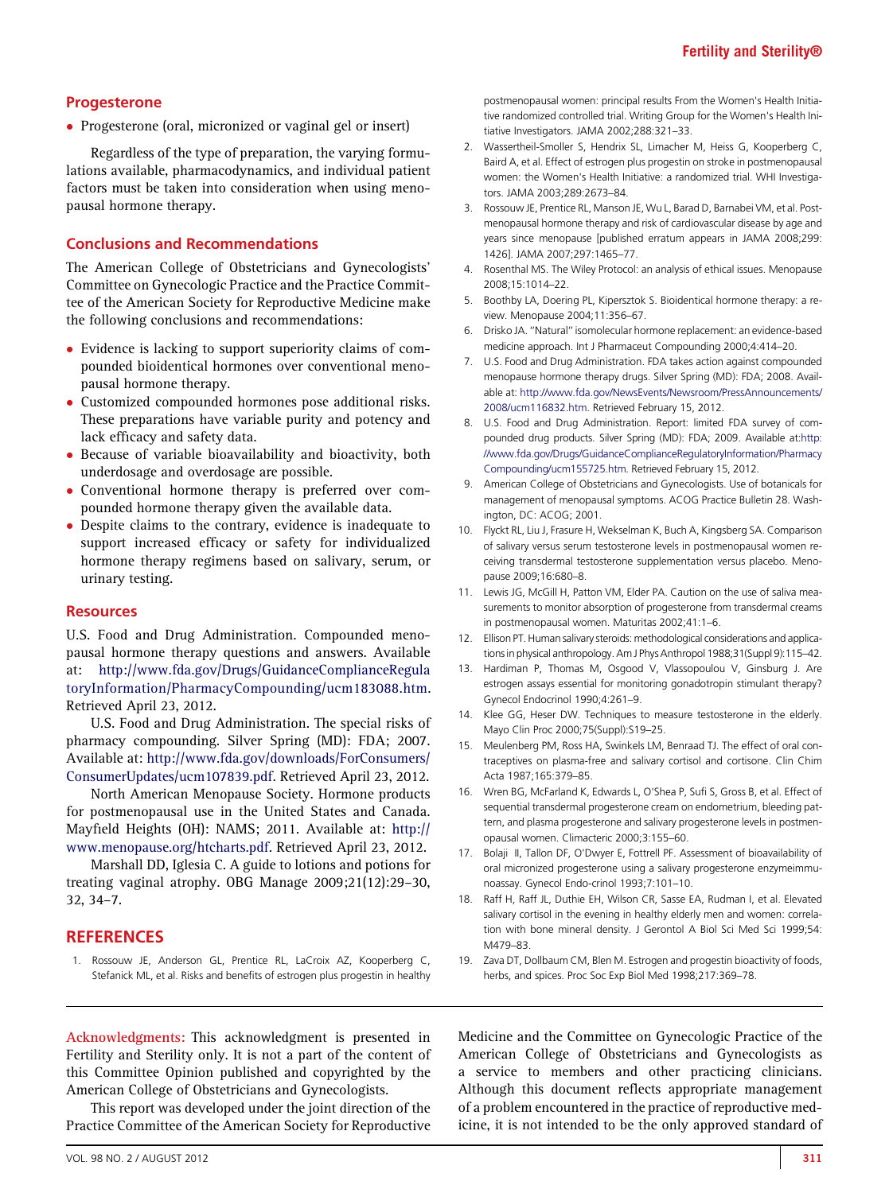#### <span id="page-3-0"></span>Progesterone

• Progesterone (oral, micronized or vaginal gel or insert)

Regardless of the type of preparation, the varying formulations available, pharmacodynamics, and individual patient factors must be taken into consideration when using menopausal hormone therapy.

#### Conclusions and Recommendations

The American College of Obstetricians and Gynecologists' Committee on Gynecologic Practice and the Practice Committee of the American Society for Reproductive Medicine make the following conclusions and recommendations:

- Evidence is lacking to support superiority claims of compounded bioidentical hormones over conventional menopausal hormone therapy.
- Customized compounded hormones pose additional risks. These preparations have variable purity and potency and lack efficacy and safety data.
- Because of variable bioavailability and bioactivity, both underdosage and overdosage are possible.
- Conventional hormone therapy is preferred over compounded hormone therapy given the available data.
- Despite claims to the contrary, evidence is inadequate to support increased efficacy or safety for individualized hormone therapy regimens based on salivary, serum, or urinary testing.

#### **Resources**

U.S. Food and Drug Administration. Compounded menopausal hormone therapy questions and answers. Available at: [http://www.fda.gov/Drugs/GuidanceComplianceRegula](http://www.fda.gov/Drugs/GuidanceComplianceRegulatoryInformation/PharmacyCompounding/ucm183088.htm) [toryInformation/PharmacyCompounding/ucm183088.htm](http://www.fda.gov/Drugs/GuidanceComplianceRegulatoryInformation/PharmacyCompounding/ucm183088.htm). Retrieved April 23, 2012.

U.S. Food and Drug Administration. The special risks of pharmacy compounding. Silver Spring (MD): FDA; 2007. Available at: [http://www.fda.gov/downloads/ForConsumers/](http://www.fda.gov/downloads/ForConsumers/ConsumerUpdates/ucm107839.pdf) [ConsumerUpdates/ucm107839.pdf.](http://www.fda.gov/downloads/ForConsumers/ConsumerUpdates/ucm107839.pdf) Retrieved April 23, 2012.

North American Menopause Society. Hormone products for postmenopausal use in the United States and Canada. Mayfield Heights (OH): NAMS; 2011. Available at: [http://](http://www.menopause.org/htcharts.pdf) [www.menopause.org/htcharts.pdf](http://www.menopause.org/htcharts.pdf). Retrieved April 23, 2012.

Marshall DD, Iglesia C. A guide to lotions and potions for treating vaginal atrophy. OBG Manage 2009;21(12):29–30, 32, 34–7.

#### **REFERENCES**

1. Rossouw JE, Anderson GL, Prentice RL, LaCroix AZ, Kooperberg C, Stefanick ML, et al. Risks and benefits of estrogen plus progestin in healthy postmenopausal women: principal results From the Women's Health Initiative randomized controlled trial. Writing Group for the Women's Health Initiative Investigators. JAMA 2002;288:321–33.

- 2. Wassertheil-Smoller S, Hendrix SL, Limacher M, Heiss G, Kooperberg C, Baird A, et al. Effect of estrogen plus progestin on stroke in postmenopausal women: the Women's Health Initiative: a randomized trial. WHI Investigators. JAMA 2003;289:2673–84.
- 3. Rossouw JE, Prentice RL, Manson JE, Wu L, Barad D, Barnabei VM, et al. Postmenopausal hormone therapy and risk of cardiovascular disease by age and years since menopause [published erratum appears in JAMA 2008;299: 1426]. JAMA 2007;297:1465–77.
- 4. Rosenthal MS. The Wiley Protocol: an analysis of ethical issues. Menopause 2008;15:1014–22.
- 5. Boothby LA, Doering PL, Kipersztok S. Bioidentical hormone therapy: a review. Menopause 2004;11:356–67.
- 6. Drisko JA. ''Natural'' isomolecular hormone replacement: an evidence-based medicine approach. Int J Pharmaceut Compounding 2000;4:414–20.
- 7. U.S. Food and Drug Administration. FDA takes action against compounded menopause hormone therapy drugs. Silver Spring (MD): FDA; 2008. Available at: [http://www.fda.gov/NewsEvents/Newsroom/PressAnnouncements/](http://www.fda.gov/NewsEvents/Newsroom/PressAnnouncements/2008/ucm116832.htm) [2008/ucm116832.htm.](http://www.fda.gov/NewsEvents/Newsroom/PressAnnouncements/2008/ucm116832.htm) Retrieved February 15, 2012.
- 8. U.S. Food and Drug Administration. Report: limited FDA survey of compounded drug products. Silver Spring (MD): FDA; 2009. Available at[:http:](http://www.fda.gov/Drugs/GuidanceComplianceRegulatoryInformation/PharmacyCompounding/ucm155725.htm) [//www.fda.gov/Drugs/GuidanceComplianceRegulatoryInformation/Pharmacy](http://www.fda.gov/Drugs/GuidanceComplianceRegulatoryInformation/PharmacyCompounding/ucm155725.htm) [Compounding/ucm155725.htm.](http://www.fda.gov/Drugs/GuidanceComplianceRegulatoryInformation/PharmacyCompounding/ucm155725.htm) Retrieved February 15, 2012.
- 9. American College of Obstetricians and Gynecologists. Use of botanicals for management of menopausal symptoms. ACOG Practice Bulletin 28. Washington, DC: ACOG; 2001.
- 10. Flyckt RL, Liu J, Frasure H, Wekselman K, Buch A, Kingsberg SA. Comparison of salivary versus serum testosterone levels in postmenopausal women receiving transdermal testosterone supplementation versus placebo. Menopause 2009;16:680–8.
- 11. Lewis JG, McGill H, Patton VM, Elder PA. Caution on the use of saliva measurements to monitor absorption of progesterone from transdermal creams in postmenopausal women. Maturitas 2002;41:1–6.
- 12. Ellison PT. Human salivary steroids: methodological considerations and applications in physical anthropology. Am J Phys Anthropol 1988;31(Suppl 9):115–42.
- 13. Hardiman P, Thomas M, Osgood V, Vlassopoulou V, Ginsburg J. Are estrogen assays essential for monitoring gonadotropin stimulant therapy? Gynecol Endocrinol 1990;4:261–9.
- 14. Klee GG, Heser DW. Techniques to measure testosterone in the elderly. Mayo Clin Proc 2000;75(Suppl):S19–25.
- 15. Meulenberg PM, Ross HA, Swinkels LM, Benraad TJ. The effect of oral contraceptives on plasma-free and salivary cortisol and cortisone. Clin Chim Acta 1987;165:379–85.
- 16. Wren BG, McFarland K, Edwards L, O'Shea P, Sufi S, Gross B, et al. Effect of sequential transdermal progesterone cream on endometrium, bleeding pattern, and plasma progesterone and salivary progesterone levels in postmenopausal women. Climacteric 2000;3:155–60.
- 17. Bolaji II, Tallon DF, O'Dwyer E, Fottrell PF. Assessment of bioavailability of oral micronized progesterone using a salivary progesterone enzymeimmunoassay. Gynecol Endo-crinol 1993;7:101–10.
- 18. Raff H, Raff JL, Duthie EH, Wilson CR, Sasse EA, Rudman I, et al. Elevated salivary cortisol in the evening in healthy elderly men and women: correlation with bone mineral density. J Gerontol A Biol Sci Med Sci 1999;54: M479–83.
- 19. Zava DT, Dollbaum CM, Blen M. Estrogen and progestin bioactivity of foods, herbs, and spices. Proc Soc Exp Biol Med 1998;217:369–78.

Acknowledgments: This acknowledgment is presented in Fertility and Sterility only. It is not a part of the content of this Committee Opinion published and copyrighted by the American College of Obstetricians and Gynecologists.

This report was developed under the joint direction of the Practice Committee of the American Society for Reproductive

Medicine and the Committee on Gynecologic Practice of the American College of Obstetricians and Gynecologists as a service to members and other practicing clinicians. Although this document reflects appropriate management of a problem encountered in the practice of reproductive medicine, it is not intended to be the only approved standard of